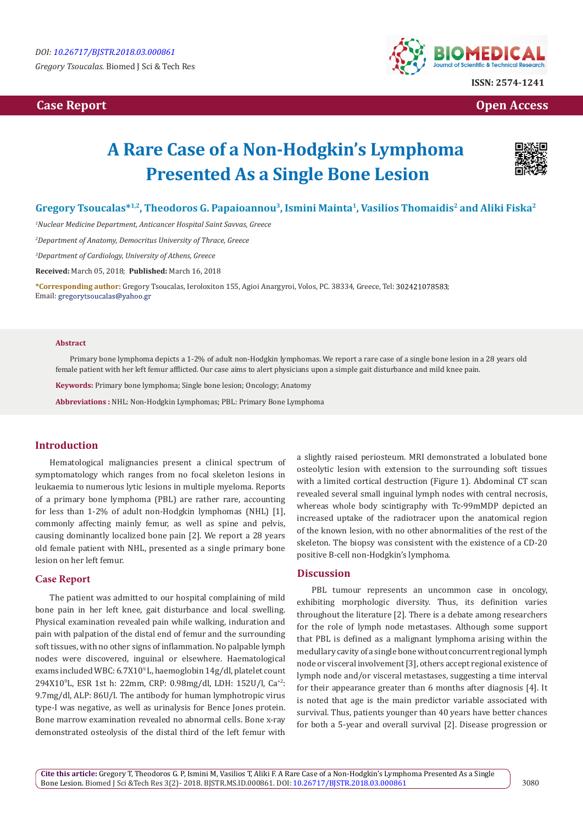*Gregory Tsoucalas.* Biomed J Sci & Tech Res

# **Case Report Case Report Case Report Case Report Case Report Case Report Case Report Case Report Case Report Case Report Case Report Case Report Case Report Case Report Case Report Case Report Case Report Case Report Case**



# **A Rare Case of a Non-Hodgkin's Lymphoma Presented As a Single Bone Lesion**



# **Gregory Tsoucalas\*1,2, Theodoros G. Papaioannou3, Ismini Mainta1, Vasilios Thomaidis2 and Aliki Fiska2**

*1 Nuclear Medicine Department, Anticancer Hospital Saint Savvas, Greece*

*2 Department of Anatomy, Democritus University of Thrace, Greece*

*3 Department of Cardiology, University of Athens, Greece*

**Received:** March 05, 2018; **Published:** March 16, 2018

**\*Corresponding author:** Gregory Tsoucalas, Ieroloxiton 155, Agioi Anargyroi, Volos, PC. 38334, Greece, Tel: ; Email: gregorytsoucalas@yahoo.gr

#### **Abstract**

Primary bone lymphoma depicts a 1-2% of adult non-Hodgkin lymphomas. We report a rare case of a single bone lesion in a 28 years old female patient with her left femur afflicted. Our case aims to alert physicians upon a simple gait disturbance and mild knee pain.

**Keywords:** Primary bone lymphoma; Single bone lesion; Oncology; Anatomy

**Abbreviations :** NHL: Non-Hodgkin Lymphomas; PBL: Primary Bone Lymphoma

### **Introduction**

Hematological malignancies present a clinical spectrum of symptomatology which ranges from no focal skeleton lesions in leukaemia to numerous lytic lesions in multiple myeloma. Reports of a primary bone lymphoma (PBL) are rather rare, accounting for less than 1-2% of adult non-Hodgkin lymphomas (NHL) [1], commonly affecting mainly femur, as well as spine and pelvis, causing dominantly localized bone pain [2]. We report a 28 years old female patient with NHL, presented as a single primary bone lesion on her left femur.

#### **Case Report**

The patient was admitted to our hospital complaining of mild bone pain in her left knee, gait disturbance and local swelling. Physical examination revealed pain while walking, induration and pain with palpation of the distal end of femur and the surrounding soft tissues, with no other signs of inflammation. No palpable lymph nodes were discovered, inguinal or elsewhere. Haematological exams included WBC: 6.7X10° L, haemoglobin 14g/dl, platelet count 294X109 L, ESR 1st h: 22mm, CRP: 0.98mg/dl, LDH: 152U/l, Ca+2: 9.7mg/dl, ALP: 86U/l. The antibody for human lymphotropic virus type-I was negative, as well as urinalysis for Bence Jones protein. Bone marrow examination revealed no abnormal cells. Bone x-ray demonstrated osteolysis of the distal third of the left femur with

a slightly raised periosteum. MRI demonstrated a lobulated bone osteolytic lesion with extension to the surrounding soft tissues with a limited cortical destruction (Figure 1). Abdominal CT scan revealed several small inguinal lymph nodes with central necrosis, whereas whole body scintigraphy with Tc-99mMDP depicted an increased uptake of the radiotracer upon the anatomical region of the known lesion, with no other abnormalities of the rest of the skeleton. The biopsy was consistent with the existence of a CD-20 positive Β-cell non-Hodgkin's lymphoma.

#### **Discussion**

PBL tumour represents an uncommon case in oncology, exhibiting morphologic diversity. Thus, its definition varies throughout the literature [2]. There is a debate among researchers for the role of lymph node metastases. Although some support that PBL is defined as a malignant lymphoma arising within the medullary cavity of a single bone without concurrent regional lymph node or visceral involvement [3], others accept regional existence of lymph node and/or visceral metastases, suggesting a time interval for their appearance greater than 6 months after diagnosis [4]. It is noted that age is the main predictor variable associated with survival. Thus, patients younger than 40 years have better chances for both a 5-year and overall survival [2]. Disease progression or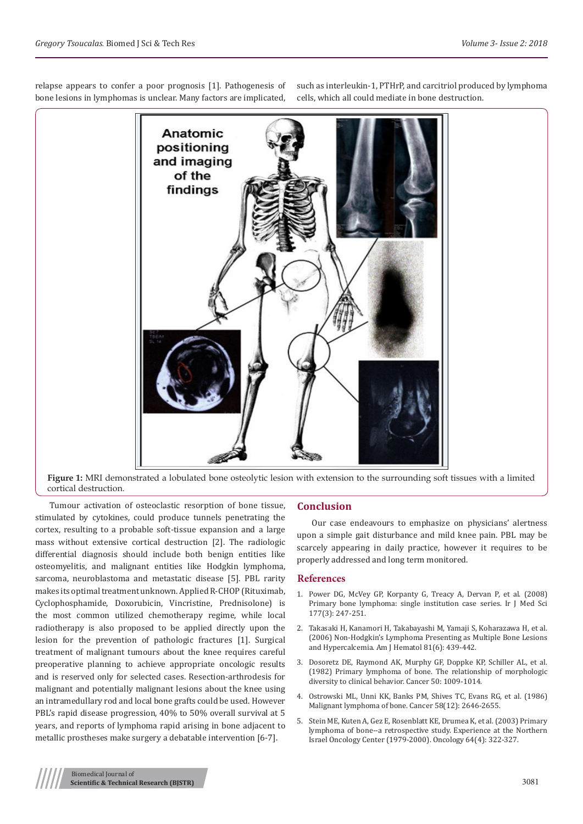cortical destruction.

relapse appears to confer a poor prognosis [1]. Pathogenesis of bone lesions in lymphomas is unclear. Many factors are implicated,

Tumour activation of osteoclastic resorption of bone tissue, stimulated by cytokines, could produce tunnels penetrating the cortex, resulting to a probable soft-tissue expansion and a large mass without extensive cortical destruction [2]. The radiologic differential diagnosis should include both benign entities like osteomyelitis, and malignant entities like Hodgkin lymphoma, sarcoma, neuroblastoma and metastatic disease [5]. PBL rarity makes its optimal treatment unknown. Applied R-CHOP (Rituximab, Cyclophosphamide, Doxorubicin, Vincristine, Prednisolone) is the most common utilized chemotherapy regime, while local radiotherapy is also proposed to be applied directly upon the lesion for the prevention of pathologic fractures [1]. Surgical treatment of malignant tumours about the knee requires careful preoperative planning to achieve appropriate oncologic results and is reserved only for selected cases. Resection-arthrodesis for malignant and potentially malignant lesions about the knee using an intramedullary rod and local bone grafts could be used. However PBL's rapid disease progression, 40% to 50% overall survival at 5 years, and reports of lymphoma rapid arising in bone adjacent to metallic prostheses make surgery a debatable intervention [6-7].

such as interleukin-1, PTHrP, and carcitriol produced by lymphoma cells, which all could mediate in bone destruction.

**Conclusion**

Our case endeavours to emphasize on physicians' alertness upon a simple gait disturbance and mild knee pain. PBL may be scarcely appearing in daily practice, however it requires to be properly addressed and long term monitored.

#### **References**

- 1. [Power DG, McVey GP, Korpanty G, Treacy A, Dervan P, et al. \(2008\)](https://www.ncbi.nlm.nih.gov/pubmed/18516662) [Primary bone lymphoma: single institution case series. Ir J Med Sci](https://www.ncbi.nlm.nih.gov/pubmed/18516662) [177\(3\): 247-251.](https://www.ncbi.nlm.nih.gov/pubmed/18516662)
- 2. [Takasaki H, Kanamori H, Takabayashi M, Yamaji S, Koharazawa H, et al.](https://www.ncbi.nlm.nih.gov/pubmed/16680736) [\(2006\) Non-Hodgkin's Lymphoma Presenting as Multiple Bone Lesions](https://www.ncbi.nlm.nih.gov/pubmed/16680736) [and Hypercalcemia. Am J Hematol 81\(6\): 439-442.](https://www.ncbi.nlm.nih.gov/pubmed/16680736)
- 3. [Dosoretz DE, Raymond AK, Murphy GF, Doppke KP, Schiller AL, et al.](https://www.ncbi.nlm.nih.gov/pubmed/7093920) [\(1982\) Primary lymphoma of bone. The relationship of morphologic](https://www.ncbi.nlm.nih.gov/pubmed/7093920) [diversity to clinical behavior. Cancer 50: 1009-1014.](https://www.ncbi.nlm.nih.gov/pubmed/7093920)
- 4. Ostrowski ML, Unni KK, Banks PM, Shives TC, Evans RG, et al. (1986) Malignant lymphoma of bone. Cancer 58(12): 2646-2655.
- 5. [Stein ME, Kuten A, Gez E, Rosenblatt KE, Drumea K, et al. \(2003\) Primary](https://www.ncbi.nlm.nih.gov/pubmed/12759527) [lymphoma of bone--a retrospective study. Experience at the Northern](https://www.ncbi.nlm.nih.gov/pubmed/12759527) [Israel Oncology Center \(1979-2000\). Oncology 64\(4\): 322-327.](https://www.ncbi.nlm.nih.gov/pubmed/12759527)



**Figure 1:** MRI demonstrated a lobulated bone osteolytic lesion with extension to the surrounding soft tissues with a limited